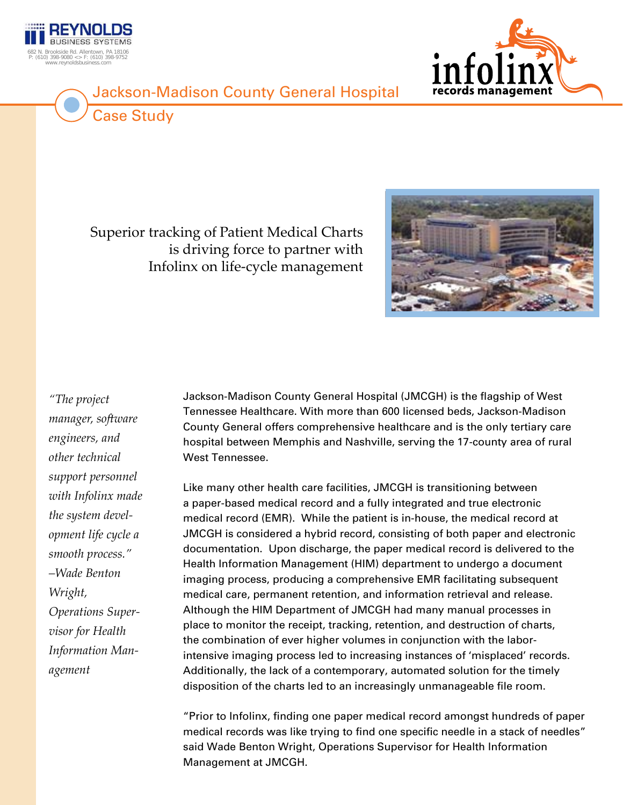

Case Study

## Jackson-Madison County General Hospital



Superior tracking of Patient Medical Charts is driving force to partner with Infolinx on life-cycle management



*"The project manager, software engineers, and other technical support personnel with Infolinx made the system development life cycle a smooth process." –Wade Benton Wright, Operations Supervisor for Health Information Management*

Jackson-Madison County General Hospital (JMCGH) is the flagship of West Tennessee Healthcare. With more than 600 licensed beds, Jackson-Madison County General offers comprehensive healthcare and is the only tertiary care hospital between Memphis and Nashville, serving the 17-county area of rural West Tennessee.

Like many other health care facilities, JMCGH is transitioning between a paper-based medical record and a fully integrated and true electronic medical record (EMR). While the patient is in-house, the medical record at JMCGH is considered a hybrid record, consisting of both paper and electronic documentation. Upon discharge, the paper medical record is delivered to the Health Information Management (HIM) department to undergo a document imaging process, producing a comprehensive EMR facilitating subsequent medical care, permanent retention, and information retrieval and release. Although the HIM Department of JMCGH had many manual processes in place to monitor the receipt, tracking, retention, and destruction of charts, the combination of ever higher volumes in conjunction with the laborintensive imaging process led to increasing instances of 'misplaced' records. Additionally, the lack of a contemporary, automated solution for the timely disposition of the charts led to an increasingly unmanageable file room.

"Prior to Infolinx, finding one paper medical record amongst hundreds of paper medical records was like trying to find one specific needle in a stack of needles" said Wade Benton Wright, Operations Supervisor for Health Information Management at JMCGH.